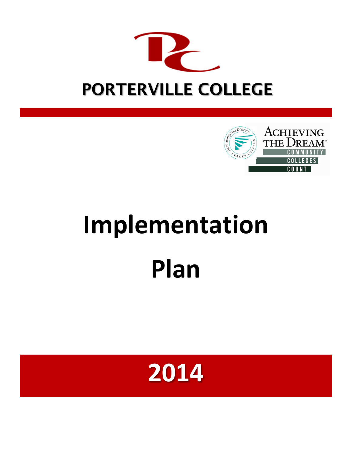



# **Implementation Plan**

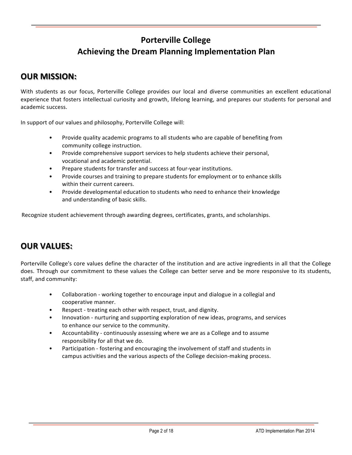# **Porterville College Achieving the Dream Planning Implementation Plan**

## **OUR MISSION:**

With students as our focus, Porterville College provides our local and diverse communities an excellent educational experience that fosters intellectual curiosity and growth, lifelong learning, and prepares our students for personal and academic success.

In support of our values and philosophy, Porterville College will:

- Provide quality academic programs to all students who are capable of benefiting from community college instruction.
- Provide comprehensive support services to help students achieve their personal, vocational and academic potential.
- Prepare students for transfer and success at four-year institutions.
- Provide courses and training to prepare students for employment or to enhance skills within their current careers.
- Provide developmental education to students who need to enhance their knowledge and understanding of basic skills.

Recognize student achievement through awarding degrees, certificates, grants, and scholarships.

# **OUR VALUES:**

Porterville College's core values define the character of the institution and are active ingredients in all that the College does. Through our commitment to these values the College can better serve and be more responsive to its students, staff, and community:

- Collaboration working together to encourage input and dialogue in a collegial and cooperative manner.
- Respect treating each other with respect, trust, and dignity.
- Innovation nurturing and supporting exploration of new ideas, programs, and services to enhance our service to the community.
- Accountability continuously assessing where we are as a College and to assume responsibility for all that we do.
- Participation fostering and encouraging the involvement of staff and students in campus activities and the various aspects of the College decision-making process.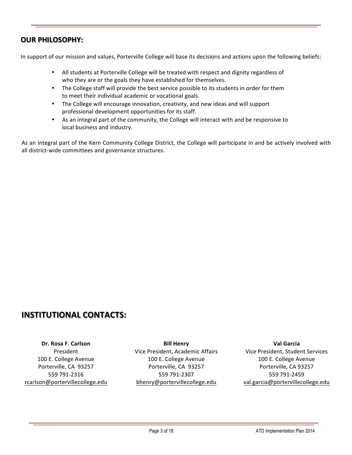## **OUR PHILOSOPHY:**

In support of our mission and values, Porterville College will base its decisions and actions upon the following beliefs:

- All students at Porterville College will be treated with respect and dignity regardless of who they are or the goals they have established for themselves.
- The College staff will provide the best service possible to its students in order for them to meet their individual academic or vocational goals.
- The College will encourage innovation, creativity, and new ideas and will support professional development opportunities for its staff.
- As an integral part of the community, the College will interact with and be responsive to local business and industry.

As an integral part of the Kern Community College District, the College will participate in and be actively involved with all district-wide committees and governance structures.

## **INSTITUTIONAL CONTACTS:**

**Dr. Rosa F. Carlson** President 100 E. College Avenue Porterville, CA 93257 559 791-2316 rcarlson@portervillecollege.edu

**Bill Henry** Vice President, Academic Affairs 100 E. College Avenue Porterville, CA 93257 559 791-2307 bhenry@portervillecollege.edu

**Val Garcia** Vice President, Student Services 100 E. College Avenue Porterville, CA 93257 559 791-2459 val.garcia@portervillecollege.edu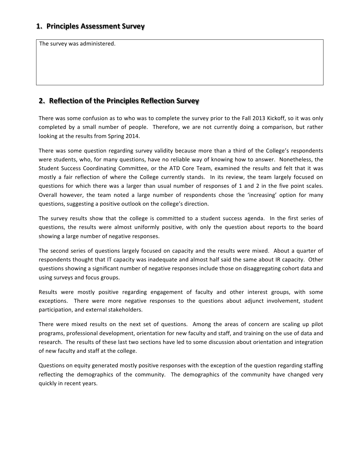The survey was administered.

## **2. Reflection of the Principles Reflection Survey**

There was some confusion as to who was to complete the survey prior to the Fall 2013 Kickoff, so it was only completed by a small number of people. Therefore, we are not currently doing a comparison, but rather looking at the results from Spring 2014.

There was some question regarding survey validity because more than a third of the College's respondents were students, who, for many questions, have no reliable way of knowing how to answer. Nonetheless, the Student Success Coordinating Committee, or the ATD Core Team, examined the results and felt that it was mostly a fair reflection of where the College currently stands. In its review, the team largely focused on questions for which there was a larger than usual number of responses of 1 and 2 in the five point scales. Overall however, the team noted a large number of respondents chose the 'increasing' option for many questions, suggesting a positive outlook on the college's direction.

The survey results show that the college is committed to a student success agenda. In the first series of questions, the results were almost uniformly positive, with only the question about reports to the board showing a large number of negative responses.

The second series of questions largely focused on capacity and the results were mixed. About a quarter of respondents thought that IT capacity was inadequate and almost half said the same about IR capacity. Other questions showing a significant number of negative responses include those on disaggregating cohort data and using surveys and focus groups.

Results were mostly positive regarding engagement of faculty and other interest groups, with some exceptions. There were more negative responses to the questions about adjunct involvement, student participation, and external stakeholders.

There were mixed results on the next set of questions. Among the areas of concern are scaling up pilot programs, professional development, orientation for new faculty and staff, and training on the use of data and research. The results of these last two sections have led to some discussion about orientation and integration of new faculty and staff at the college.

Questions on equity generated mostly positive responses with the exception of the question regarding staffing reflecting the demographics of the community. The demographics of the community have changed very quickly in recent years.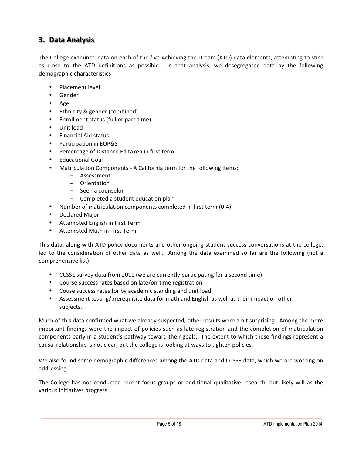## **3. Data Analysis**

The College examined data on each of the five Achieving the Dream (ATD) data elements, attempting to stick as close to the ATD definitions as possible. In that analysis, we desegregated data by the following demographic characteristics:

- Placement level
- Gender
- Age
- Ethnicity & gender (combined)
- Enrollment status (full or part-time)
- Unit load
- Financial Aid status
- Participation in EOP&S
- Percentage of Distance Ed taken in first term
- Educational Goal
- Matriculation Components A California term for the following items:
	- Assessment
	- Orientation
	- Seen a counselor
	- Completed a student education plan
	- Number of matriculation components completed in first term (0-4)
- Declared Major
- Attempted English in First Term
- Attempted Math in First Term

This data, along with ATD policy documents and other ongoing student success conversations at the college, led to the consideration of other data as well. Among the data examined so far are the following (not a comprehensive list):

- CCSSE survey data from 2011 (we are currently participating for a second time)
- Course success rates based on late/on-time registration
- Couse success rates for by academic standing and unit load
- Assessment testing/prerequisite data for math and English as well as their impact on other subjects.

Much of this data confirmed what we already suspected; other results were a bit surprising. Among the more important findings were the impact of policies such as late registration and the completion of matriculation components early in a student's pathway toward their goals. The extent to which these findings represent a causal relationship is not clear, but the college is looking at ways to tighten policies.

We also found some demographic differences among the ATD data and CCSSE data, which we are working on addressing.

The College has not conducted recent focus groups or additional qualitative research, but likely will as the various initiatives progress.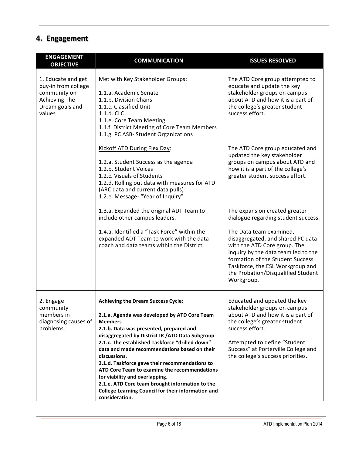# **4. Engagement**

| <b>ENGAGEMENT</b><br><b>OBJECTIVE</b>                                                                          | <b>COMMUNICATION</b>                                                                                                                                                                                                                                                                                                                                                                                                                                                                                                                                                                         | <b>ISSUES RESOLVED</b>                                                                                                                                                                                                                                            |
|----------------------------------------------------------------------------------------------------------------|----------------------------------------------------------------------------------------------------------------------------------------------------------------------------------------------------------------------------------------------------------------------------------------------------------------------------------------------------------------------------------------------------------------------------------------------------------------------------------------------------------------------------------------------------------------------------------------------|-------------------------------------------------------------------------------------------------------------------------------------------------------------------------------------------------------------------------------------------------------------------|
| 1. Educate and get<br>buy-in from college<br>community on<br><b>Achieving The</b><br>Dream goals and<br>values | Met with Key Stakeholder Groups:<br>1.1.a. Academic Senate<br>1.1.b. Division Chairs<br>1.1.c. Classified Unit<br>1.1.d. CLC<br>1.1.e. Core Team Meeting<br>1.1.f. District Meeting of Core Team Members<br>1.1.g. PC ASB- Student Organizations                                                                                                                                                                                                                                                                                                                                             | The ATD Core group attempted to<br>educate and update the key<br>stakeholder groups on campus<br>about ATD and how it is a part of<br>the college's greater student<br>success effort.                                                                            |
|                                                                                                                | Kickoff ATD During Flex Day:<br>1.2.a. Student Success as the agenda<br>1.2.b. Student Voices<br>1.2.c. Visuals of Students<br>1.2.d. Rolling out data with measures for ATD<br>(ARC data and current data pulls)<br>1.2.e. Message- "Year of Inquiry"                                                                                                                                                                                                                                                                                                                                       | The ATD Core group educated and<br>updated the key stakeholder<br>groups on campus about ATD and<br>how it is a part of the college's<br>greater student success effort.                                                                                          |
|                                                                                                                | 1.3.a. Expanded the original ADT Team to<br>include other campus leaders.                                                                                                                                                                                                                                                                                                                                                                                                                                                                                                                    | The expansion created greater<br>dialogue regarding student success.                                                                                                                                                                                              |
|                                                                                                                | 1.4.a. Identified a "Task Force" within the<br>expanded ADT Team to work with the data<br>coach and data teams within the District.                                                                                                                                                                                                                                                                                                                                                                                                                                                          | The Data team examined,<br>disaggregated, and shared PC data<br>with the ATD Core group. The<br>inquiry by the data team led to the<br>formation of the Student Success<br>Taskforce, the ESL Workgroup and<br>the Probation/Disqualified Student<br>Workgroup.   |
| 2. Engage<br>community<br>members in<br>diagnosing causes of<br>problems.                                      | <b>Achieving the Dream Success Cycle:</b><br>2.1.a. Agenda was developed by ATD Core Team<br><b>Members</b><br>2.1.b. Data was presented, prepared and<br>disaggregated by District IR / ATD Data Subgroup<br>2.1.c. The established Taskforce "drilled down"<br>data and made recommendations based on their<br>discussions.<br>2.1.d. Taskforce gave their recommendations to<br>ATD Core Team to examine the recommendations<br>for viability and overlapping.<br>2.1.e. ATD Core team brought information to the<br>College Learning Council for their information and<br>consideration. | Educated and updated the key<br>stakeholder groups on campus<br>about ATD and how it is a part of<br>the college's greater student<br>success effort.<br>Attempted to define "Student<br>Success" at Porterville College and<br>the college's success priorities. |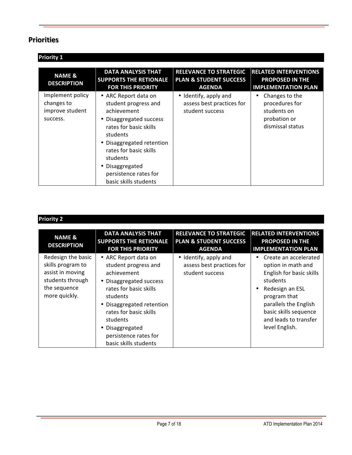## **Priorities**

| <b>Priority 1</b>                                             |                                                                                                                                                                                                                                                                    |                                                                                     |                                                                                      |
|---------------------------------------------------------------|--------------------------------------------------------------------------------------------------------------------------------------------------------------------------------------------------------------------------------------------------------------------|-------------------------------------------------------------------------------------|--------------------------------------------------------------------------------------|
| <b>NAME &amp;</b><br><b>DESCRIPTION</b>                       | <b>DATA ANALYSIS THAT</b><br><b>SUPPORTS THE RETIONALE</b><br><b>FOR THIS PRIORITY</b>                                                                                                                                                                             | <b>RELEVANCE TO STRATEGIC</b><br><b>PLAN &amp; STUDENT SUCCESS</b><br><b>AGENDA</b> | <b>RELATED INTERVENTIONS</b><br><b>PROPOSED IN THE</b><br><b>IMPLEMENTATION PLAN</b> |
| Implement policy<br>changes to<br>improve student<br>success. | • ARC Report data on<br>student progress and<br>achievement<br>• Disaggregated success<br>rates for basic skills<br>students<br>Disaggregated retention<br>rates for basic skills<br>students<br>• Disaggregated<br>persistence rates for<br>basic skills students | • Identify, apply and<br>assess best practices for<br>student success               | Changes to the<br>procedures for<br>students on<br>probation or<br>dismissal status  |

| Priorit |  |
|---------|--|
|         |  |

| <b>NAME &amp;</b><br><b>DESCRIPTION</b>                                                                          | <b>DATA ANALYSIS THAT</b><br><b>SUPPORTS THE RETIONALE</b><br><b>FOR THIS PRIORITY</b>                                                                                                                                                                               | <b>RELEVANCE TO STRATEGIC</b><br><b>PLAN &amp; STUDENT SUCCESS</b><br><b>AGENDA</b> | <b>RELATED INTERVENTIONS</b><br><b>PROPOSED IN THE</b><br><b>IMPLEMENTATION PLAN</b>                                                                                                                                     |
|------------------------------------------------------------------------------------------------------------------|----------------------------------------------------------------------------------------------------------------------------------------------------------------------------------------------------------------------------------------------------------------------|-------------------------------------------------------------------------------------|--------------------------------------------------------------------------------------------------------------------------------------------------------------------------------------------------------------------------|
| Redesign the basic<br>skills program to<br>assist in moving<br>students through<br>the sequence<br>more quickly. | • ARC Report data on<br>student progress and<br>achievement<br>• Disaggregated success<br>rates for basic skills<br>students<br>• Disaggregated retention<br>rates for basic skills<br>students<br>• Disaggregated<br>persistence rates for<br>basic skills students | • Identify, apply and<br>assess best practices for<br>student success               | Create an accelerated<br>٠<br>option in math and<br>English for basic skills<br>students<br>Redesign an ESL<br>program that<br>parallels the English<br>basic skills sequence<br>and leads to transfer<br>level English. |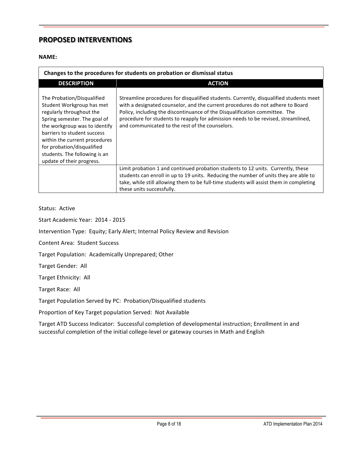## **PROPOSED INTERVENTIONS**

#### **NAME:**

| Changes to the procedures for students on probation or dismissal status                                                                                                                                                                                                                                          |                                                                                                                                                                                                                                                                                                                                                                                                 |  |  |  |  |
|------------------------------------------------------------------------------------------------------------------------------------------------------------------------------------------------------------------------------------------------------------------------------------------------------------------|-------------------------------------------------------------------------------------------------------------------------------------------------------------------------------------------------------------------------------------------------------------------------------------------------------------------------------------------------------------------------------------------------|--|--|--|--|
| <b>DESCRIPTION</b>                                                                                                                                                                                                                                                                                               | <b>ACTION</b>                                                                                                                                                                                                                                                                                                                                                                                   |  |  |  |  |
| The Probation/Disqualified<br>Student Workgroup has met<br>regularly throughout the<br>Spring semester. The goal of<br>the workgroup was to identify<br>barriers to student success<br>within the current procedures<br>for probation/disqualified<br>students. The following is an<br>update of their progress. | Streamline procedures for disqualified students. Currently, disqualified students meet<br>with a designated counselor, and the current procedures do not adhere to Board<br>Policy, including the discontinuance of the Disqualification committee. The<br>procedure for students to reapply for admission needs to be revised, streamlined,<br>and communicated to the rest of the counselors. |  |  |  |  |
|                                                                                                                                                                                                                                                                                                                  | Limit probation 1 and continued probation students to 12 units. Currently, these<br>students can enroll in up to 19 units. Reducing the number of units they are able to<br>take, while still allowing them to be full-time students will assist them in completing<br>these units successfully.                                                                                                |  |  |  |  |

#### Status: Active

Start Academic Year: 2014 - 2015

Intervention Type: Equity; Early Alert; Internal Policy Review and Revision

Content Area: Student Success

Target Population: Academically Unprepared; Other

Target Gender: All

Target Ethnicity: All

Target Race: All

Target Population Served by PC: Probation/Disqualified students

Proportion of Key Target population Served: Not Available

Target ATD Success Indicator: Successful completion of developmental instruction; Enrollment in and successful completion of the initial college-level or gateway courses in Math and English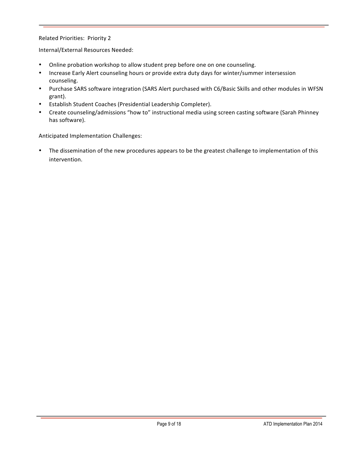#### Related Priorities: Priority 2

Internal/External Resources Needed:

- Online probation workshop to allow student prep before one on one counseling.
- Increase Early Alert counseling hours or provide extra duty days for winter/summer intersession counseling.
- Purchase SARS software integration (SARS Alert purchased with C6/Basic Skills and other modules in WFSN grant).
- Establish Student Coaches (Presidential Leadership Completer).
- Create counseling/admissions "how to" instructional media using screen casting software (Sarah Phinney has software).

Anticipated Implementation Challenges:

• The dissemination of the new procedures appears to be the greatest challenge to implementation of this intervention.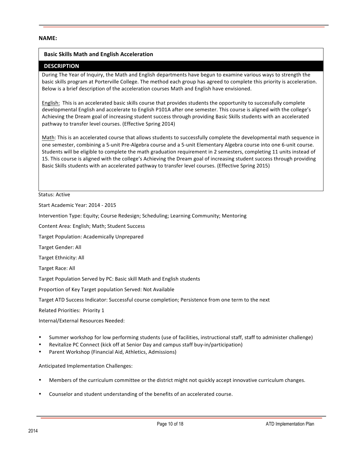#### **NAME:**

#### **Basic Skills Math and English Acceleration**

#### **DESCRIPTION**

During The Year of Inquiry, the Math and English departments have begun to examine various ways to strength the basic skills program at Porterville College. The method each group has agreed to complete this priority is acceleration. Below is a brief description of the acceleration courses Math and English have envisioned.

English: This is an accelerated basic skills course that provides students the opportunity to successfully complete developmental English and accelerate to English P101A after one semester. This course is aligned with the college's Achieving the Dream goal of increasing student success through providing Basic Skills students with an accelerated pathway to transfer level courses. (Effective Spring 2014)

Math: This is an accelerated course that allows students to successfully complete the developmental math sequence in one semester, combining a 5-unit Pre-Algebra course and a 5-unit Elementary Algebra course into one 6-unit course. Students will be eligible to complete the math graduation requirement in 2 semesters, completing 11 units instead of 15. This course is aligned with the college's Achieving the Dream goal of increasing student success through providing Basic Skills students with an accelerated pathway to transfer level courses. (Effective Spring 2015)

**Status: Active** 

Start Academic Year: 2014 - 2015

Intervention Type: Equity; Course Redesign; Scheduling; Learning Community; Mentoring

Content Area: English; Math; Student Success

Target Population: Academically Unprepared

Target Gender: All

Target Ethnicity: All

Target Race: All

Target Population Served by PC: Basic skill Math and English students

Proportion of Key Target population Served: Not Available

Target ATD Success Indicator: Successful course completion; Persistence from one term to the next

Related Priorities: Priority 1

Internal/External Resources Needed:

- Summer workshop for low performing students (use of facilities, instructional staff, staff to administer challenge)
- Revitalize PC Connect (kick off at Senior Day and campus staff buy-in/participation)
- Parent Workshop (Financial Aid, Athletics, Admissions)

Anticipated Implementation Challenges:

- Members of the curriculum committee or the district might not quickly accept innovative curriculum changes.
- Counselor and student understanding of the benefits of an accelerated course.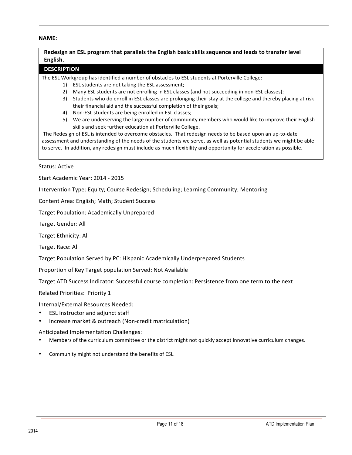#### **NAME:**

Redesign an ESL program that parallels the English basic skills sequence and leads to transfer level English.

#### **DESCRIPTION**

The ESL Workgroup has identified a number of obstacles to ESL students at Porterville College:

- 1) ESL students are not taking the ESL assessment;
- 2) Many ESL students are not enrolling in ESL classes (and not succeeding in non-ESL classes);
- 3) Students who do enroll in ESL classes are prolonging their stay at the college and thereby placing at risk their financial aid and the successful completion of their goals;
- 4) Non-ESL students are being enrolled in ESL classes;
- 5) We are underserving the large number of community members who would like to improve their English skills and seek further education at Porterville College.

The Redesign of ESL is intended to overcome obstacles. That redesign needs to be based upon an up-to-date assessment and understanding of the needs of the students we serve, as well as potential students we might be able to serve. In addition, any redesign must include as much flexibility and opportunity for acceleration as possible.

#### Status: Active

Start Academic Year: 2014 - 2015

Intervention Type: Equity; Course Redesign; Scheduling; Learning Community; Mentoring

Content Area: English; Math; Student Success

Target Population: Academically Unprepared

Target Gender: All

Target Ethnicity: All

Target Race: All

Target Population Served by PC: Hispanic Academically Underprepared Students

Proportion of Key Target population Served: Not Available

Target ATD Success Indicator: Successful course completion: Persistence from one term to the next

Related Priorities: Priority 1

Internal/External Resources Needed:

- ESL Instructor and adjunct staff
- Increase market & outreach (Non-credit matriculation)

Anticipated Implementation Challenges:

- Members of the curriculum committee or the district might not quickly accept innovative curriculum changes.
- Community might not understand the benefits of ESL.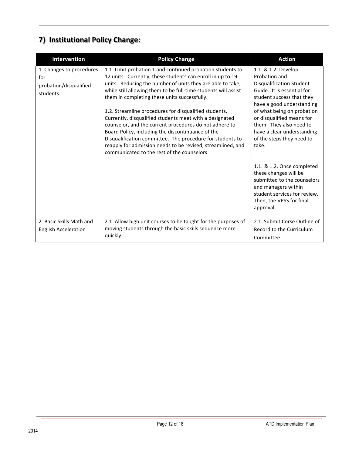# **7) Institutional Policy Change:**

| Intervention                                                           | <b>Policy Change</b>                                                                                                                                                                                                                                                                                                                                                                                                                                                                                                                                                                                                                                                                                                   | <b>Action</b>                                                                                                                                                                                                                                                                                                             |
|------------------------------------------------------------------------|------------------------------------------------------------------------------------------------------------------------------------------------------------------------------------------------------------------------------------------------------------------------------------------------------------------------------------------------------------------------------------------------------------------------------------------------------------------------------------------------------------------------------------------------------------------------------------------------------------------------------------------------------------------------------------------------------------------------|---------------------------------------------------------------------------------------------------------------------------------------------------------------------------------------------------------------------------------------------------------------------------------------------------------------------------|
| 1. Changes to procedures<br>for<br>probation/disqualified<br>students. | 1.1. Limit probation 1 and continued probation students to<br>12 units. Currently, these students can enroll in up to 19<br>units. Reducing the number of units they are able to take,<br>while still allowing them to be full-time students will assist<br>them in completing these units successfully.<br>1.2. Streamline procedures for disqualified students.<br>Currently, disqualified students meet with a designated<br>counselor, and the current procedures do not adhere to<br>Board Policy, including the discontinuance of the<br>Disqualification committee. The procedure for students to<br>reapply for admission needs to be revised, streamlined, and<br>communicated to the rest of the counselors. | 1.1. & 1.2. Develop<br>Probation and<br><b>Disqualification Student</b><br>Guide. It is essential for<br>student success that they<br>have a good understanding<br>of what being on probation<br>or disqualified means for<br>them. They also need to<br>have a clear understanding<br>of the steps they need to<br>take. |
|                                                                        |                                                                                                                                                                                                                                                                                                                                                                                                                                                                                                                                                                                                                                                                                                                        | 1.1. & 1.2. Once completed<br>these changes will be<br>submitted to the counselors<br>and managers within<br>student services for review.<br>Then, the VPSS for final<br>approval                                                                                                                                         |
| 2. Basic Skills Math and<br><b>English Acceleration</b>                | 2.1. Allow high unit courses to be taught for the purposes of<br>moving students through the basic skills sequence more<br>quickly.                                                                                                                                                                                                                                                                                                                                                                                                                                                                                                                                                                                    | 2.1. Submit Corse Outline of<br>Record to the Curriculum<br>Committee.                                                                                                                                                                                                                                                    |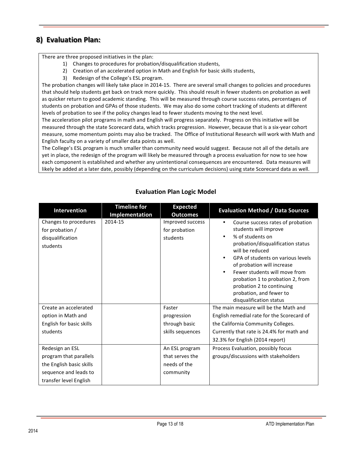## **8) Evaluation Plan:**

There are three proposed initiatives in the plan:

- 1) Changes to procedures for probation/disqualification students,
- 2) Creation of an accelerated option in Math and English for basic skills students,
- 3) Redesign of the College's ESL program.

The probation changes will likely take place in 2014-15. There are several small changes to policies and procedures that should help students get back on track more quickly. This should result in fewer students on probation as well as quicker return to good academic standing. This will be measured through course success rates, percentages of students on probation and GPAs of those students. We may also do some cohort tracking of students at different levels of probation to see if the policy changes lead to fewer students moving to the next level.

The acceleration pilot programs in math and English will progress separately. Progress on this initiative will be measured through the state Scorecard data, which tracks progression. However, because that is a six-year cohort measure, some momentum points may also be tracked. The Office of Institutional Research will work with Math and English faculty on a variety of smaller data points as well.

The College's ESL program is much smaller than community need would suggest. Because not all of the details are yet in place, the redesign of the program will likely be measured through a process evaluation for now to see how each component is established and whether any unintentional consequences are encountered. Data measures will likely be added at a later date, possibly (depending on the curriculum decisions) using state Scorecard data as well.

| Intervention                                                             | <b>Timeline for</b><br>Implementation | <b>Expected</b><br><b>Outcomes</b>            | <b>Evaluation Method / Data Sources</b>                                                                                                                                                                                                                                                                                                                                                    |
|--------------------------------------------------------------------------|---------------------------------------|-----------------------------------------------|--------------------------------------------------------------------------------------------------------------------------------------------------------------------------------------------------------------------------------------------------------------------------------------------------------------------------------------------------------------------------------------------|
| Changes to procedures<br>for probation /<br>disqualification<br>students | 2014-15                               | Improved success<br>for probation<br>students | Course success rates of probation<br>$\bullet$<br>students will improve<br>% of students on<br>$\bullet$<br>probation/disqualification status<br>will be reduced<br>GPA of students on various levels<br>$\bullet$<br>of probation will increase<br>Fewer students will move from<br>$\bullet$<br>probation 1 to probation 2, from<br>probation 2 to continuing<br>probation, and fewer to |
|                                                                          |                                       |                                               | disqualification status                                                                                                                                                                                                                                                                                                                                                                    |
| Create an accelerated                                                    |                                       | Faster                                        | The main measure will be the Math and                                                                                                                                                                                                                                                                                                                                                      |
| option in Math and                                                       |                                       | progression                                   | English remedial rate for the Scorecard of                                                                                                                                                                                                                                                                                                                                                 |
| English for basic skills                                                 |                                       | through basic                                 | the California Community Colleges.                                                                                                                                                                                                                                                                                                                                                         |
| students                                                                 |                                       | skills sequences                              | Currently that rate is 24.4% for math and                                                                                                                                                                                                                                                                                                                                                  |
|                                                                          |                                       |                                               | 32.3% for English (2014 report)                                                                                                                                                                                                                                                                                                                                                            |
| Redesign an ESL                                                          |                                       | An ESL program                                | Process Evaluation, possibly focus                                                                                                                                                                                                                                                                                                                                                         |
| program that parallels                                                   |                                       | that serves the                               | groups/discussions with stakeholders                                                                                                                                                                                                                                                                                                                                                       |
| the English basic skills                                                 |                                       | needs of the                                  |                                                                                                                                                                                                                                                                                                                                                                                            |
| sequence and leads to                                                    |                                       | community                                     |                                                                                                                                                                                                                                                                                                                                                                                            |
| transfer level English                                                   |                                       |                                               |                                                                                                                                                                                                                                                                                                                                                                                            |

## **Evaluation Plan Logic Model**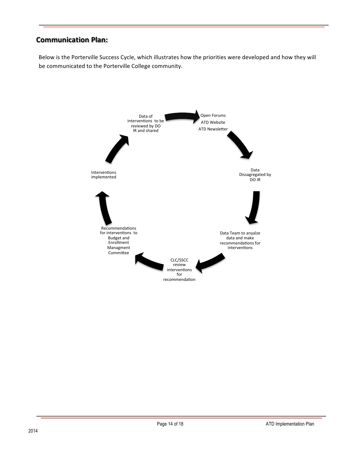## **Communication Plan:**

Below is the Porterville Success Cycle, which illustrates how the priorities were developed and how they will be communicated to the Porterville College community.

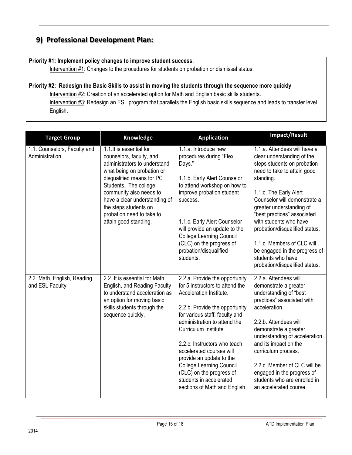## **9) Professional Development Plan:**

#### **Priority #1: Implement policy changes to improve student success.**

Intervention #1: Changes to the procedures for students on probation or dismissal status.

# **Priority #2: Redesign the Basic Skills to assist in moving the students through the sequence more quickly** Intervention #2: Creation of an accelerated option for Math and English basic skills students.

Intervention #3: Redesign an ESL program that parallels the English basic skills sequence and leads to transfer level English.

| <b>Target Group</b>                            | Knowledge                                                                                                                                                                                                                                                                                                           | <b>Application</b>                                                                                                                                                                                                                                                                                                                                                                                                                           | Impact/Result                                                                                                                                                                                                                                                                                                                                                                                                                                |
|------------------------------------------------|---------------------------------------------------------------------------------------------------------------------------------------------------------------------------------------------------------------------------------------------------------------------------------------------------------------------|----------------------------------------------------------------------------------------------------------------------------------------------------------------------------------------------------------------------------------------------------------------------------------------------------------------------------------------------------------------------------------------------------------------------------------------------|----------------------------------------------------------------------------------------------------------------------------------------------------------------------------------------------------------------------------------------------------------------------------------------------------------------------------------------------------------------------------------------------------------------------------------------------|
| 1.1. Counselors, Faculty and<br>Administration | 1.1. It is essential for<br>counselors, faculty, and<br>administrators to understand<br>what being on probation or<br>disqualified means for PC<br>Students. The college<br>community also needs to<br>have a clear understanding of<br>the steps students on<br>probation need to take to<br>attain good standing. | 1.1.a. Introduce new<br>procedures during "Flex<br>Days."<br>1.1.b. Early Alert Counselor<br>to attend workshop on how to<br>improve probation student<br>success.<br>1.1.c. Early Alert Counselor<br>will provide an update to the<br><b>College Learning Council</b><br>(CLC) on the progress of<br>probation/disqualified<br>students.                                                                                                    | 1.1.a. Attendees will have a<br>clear understanding of the<br>steps students on probation<br>need to take to attain good<br>standing.<br>1.1.c. The Early Alert<br>Counselor will demonstrate a<br>greater understanding of<br>"best practices" associated<br>with students who have<br>probation/disqualified status.<br>1.1.c. Members of CLC will<br>be engaged in the progress of<br>students who have<br>probation/disqualified status. |
| 2.2. Math, English, Reading<br>and ESL Faculty | 2.2. It is essential for Math,<br>English, and Reading Faculty<br>to understand acceleration as<br>an option for moving basic<br>skills students through the<br>sequence quickly.                                                                                                                                   | 2.2.a. Provide the opportunity<br>for 5 instructors to attend the<br>Acceleration Institute.<br>2.2.b. Provide the opportunity<br>for various staff, faculty and<br>administration to attend the<br>Curriculum Institute.<br>2.2.c. Instructors who teach<br>accelerated courses will<br>provide an update to the<br><b>College Learning Council</b><br>(CLC) on the progress of<br>students in accelerated<br>sections of Math and English. | 2.2.a. Attendees will<br>demonstrate a greater<br>understanding of "best<br>practices" associated with<br>acceleration.<br>2.2.b. Attendees will<br>demonstrate a greater<br>understanding of acceleration<br>and its impact on the<br>curriculum process.<br>2.2.c. Member of CLC will be<br>engaged in the progress of<br>students who are enrolled in<br>an accelerated course.                                                           |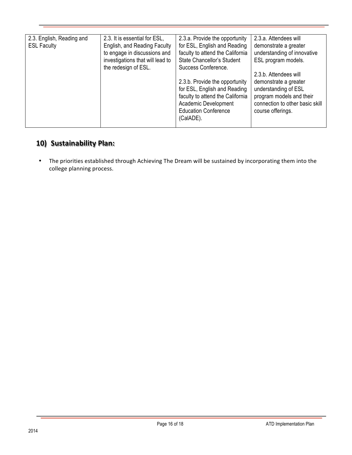| 2.3. English, Reading and | 2.3. It is essential for ESL,    | 2.3.a. Provide the opportunity    | 2.3.a. Attendees will           |
|---------------------------|----------------------------------|-----------------------------------|---------------------------------|
| <b>ESL Faculty</b>        | English, and Reading Faculty     | for ESL, English and Reading      | demonstrate a greater           |
|                           | to engage in discussions and     | faculty to attend the California  | understanding of innovative     |
|                           | investigations that will lead to | <b>State Chancellor's Student</b> | ESL program models.             |
|                           | the redesign of ESL.             | Success Conference.               |                                 |
|                           |                                  |                                   | 2.3.b. Attendees will           |
|                           |                                  | 2.3.b. Provide the opportunity    | demonstrate a greater           |
|                           |                                  | for ESL, English and Reading      | understanding of ESL            |
|                           |                                  | faculty to attend the California  | program models and their        |
|                           |                                  | Academic Development              | connection to other basic skill |
|                           |                                  | <b>Education Conference</b>       | course offerings.               |
|                           |                                  | (CalADE).                         |                                 |
|                           |                                  |                                   |                                 |

# **10) Sustainability Plan:**

• The priorities established through Achieving The Dream will be sustained by incorporating them into the college planning process.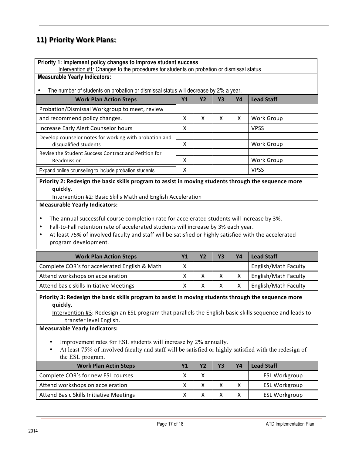## **11) Priority Work Plans:**

| Priority 1: Implement policy changes to improve student success<br>Intervention #1: Changes to the procedures for students on probation or dismissal status |    |    |    |    |                   |
|-------------------------------------------------------------------------------------------------------------------------------------------------------------|----|----|----|----|-------------------|
| <b>Measurable Yearly Indicators:</b>                                                                                                                        |    |    |    |    |                   |
| The number of students on probation or dismissal status will decrease by 2% a year.                                                                         |    |    |    |    |                   |
| <b>Work Plan Action Steps</b>                                                                                                                               | Υ1 | Y2 | Y3 | Y4 | <b>Lead Staff</b> |
| Probation/Dismissal Workgroup to meet, review                                                                                                               |    |    |    |    |                   |
| and recommend policy changes.                                                                                                                               | X  | X  | x  | X  | Work Group        |
| Increase Early Alert Counselor hours                                                                                                                        | X  |    |    |    | <b>VPSS</b>       |
| Develop counselor notes for working with probation and                                                                                                      |    |    |    |    |                   |
| disqualified students                                                                                                                                       | X  |    |    |    | <b>Work Group</b> |
| Revise the Student Success Contract and Petition for                                                                                                        |    |    |    |    |                   |
| Readmission                                                                                                                                                 | X  |    |    |    | Work Group        |
| Expand online counseling to include probation students.                                                                                                     | X  |    |    |    | <b>VPSS</b>       |

#### Priority 2: Redesign the basic skills program to assist in moving students through the sequence more **quickly.**

Intervention #2: Basic Skills Math and English Acceleration

#### **Measurable Yearly Indicators:**

- The annual successful course completion rate for accelerated students will increase by 3%.
- Fall-to-Fall retention rate of accelerated students will increase by 3% each year.
- At least 75% of involved faculty and staff will be satisfied or highly satisfied with the accelerated program development.

| <b>Work Plan Action Steps</b>                 |   |  | Υ4 | <b>Lead Staff</b>    |
|-----------------------------------------------|---|--|----|----------------------|
| Complete COR's for accelerated English & Math | x |  |    | English/Math Faculty |
| Attend workshops on acceleration              |   |  |    | English/Math Faculty |
| Attend basic skills Initiative Meetings       |   |  |    | English/Math Faculty |

Priority 3: Redesign the basic skills program to assist in moving students through the sequence more **quickly.**

Intervention #3: Redesign an ESL program that parallels the English basic skills sequence and leads to transfer level English.

#### **Measurable Yearly Indicators:**

- Improvement rates for ESL students will increase by 2% annually.
- At least 75% of involved faculty and staff will be satisfied or highly satisfied with the redesign of the ESL program.

| <b>Work Plan Actin Steps</b>            |  | ۷Δ | <b>Lead Staff</b>    |
|-----------------------------------------|--|----|----------------------|
| Complete COR's for new ESL courses      |  |    | <b>ESL Workgroup</b> |
| Attend workshops on acceleration        |  |    | <b>ESL Workgroup</b> |
| Attend Basic Skills Initiative Meetings |  |    | <b>ESL Workgroup</b> |